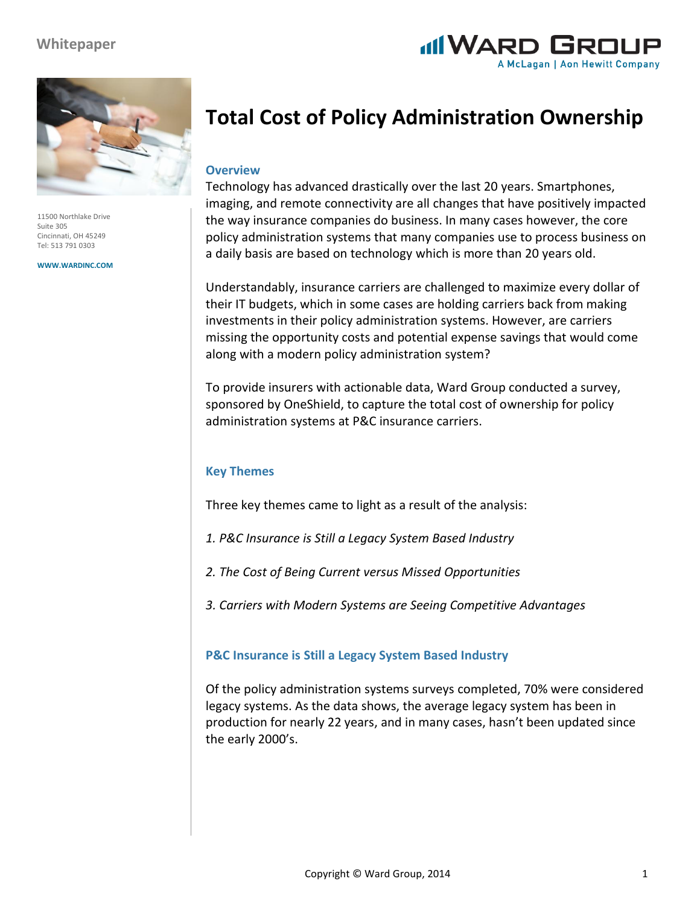



11500 Northlake Drive Suite 305 Cincinnati, OH 45249 Tel: 513 791 0303

#### **WWW.WARDINC.COM**

# **Total Cost of Policy Administration Ownership**

### **Overview**

Technology has advanced drastically over the last 20 years. Smartphones, imaging, and remote connectivity are all changes that have positively impacted the way insurance companies do business. In many cases however, the core policy administration systems that many companies use to process business on a daily basis are based on technology which is more than 20 years old.

Understandably, insurance carriers are challenged to maximize every dollar of their IT budgets, which in some cases are holding carriers back from making investments in their policy administration systems. However, are carriers missing the opportunity costs and potential expense savings that would come along with a modern policy administration system?

To provide insurers with actionable data, Ward Group conducted a survey, sponsored by OneShield, to capture the total cost of ownership for policy administration systems at P&C insurance carriers.

### **Key Themes**

Three key themes came to light as a result of the analysis:

- *1. P&C Insurance is Still a Legacy System Based Industry*
- *2. The Cost of Being Current versus Missed Opportunities*
- *3. Carriers with Modern Systems are Seeing Competitive Advantages*

### **P&C Insurance is Still a Legacy System Based Industry**

Of the policy administration systems surveys completed, 70% were considered legacy systems. As the data shows, the average legacy system has been in production for nearly 22 years, and in many cases, hasn't been updated since the early 2000's.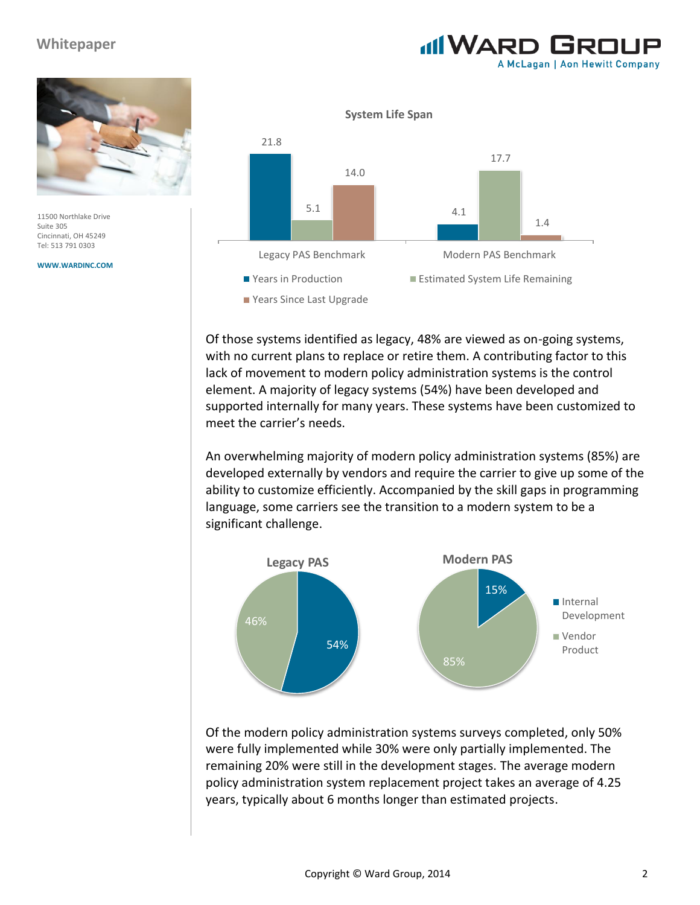



11500 Northlake Drive Suite 305 Cincinnati, OH 45249 Tel: 513 791 0303

**WWW.WARDINC.COM**

21.8  $5.1$  4.1 17.7 14.0 1.4 Legacy PAS Benchmark Modern PAS Benchmark **System Life Span** ■ Years in Production ■ Estimated System Life Remaining **Paramer Since Last Upgrade** 

Of those systems identified as legacy, 48% are viewed as on-going systems, with no current plans to replace or retire them. A contributing factor to this lack of movement to modern policy administration systems is the control element. A majority of legacy systems (54%) have been developed and supported internally for many years. These systems have been customized to meet the carrier's needs.

An overwhelming majority of modern policy administration systems (85%) are developed externally by vendors and require the carrier to give up some of the ability to customize efficiently. Accompanied by the skill gaps in programming language, some carriers see the transition to a modern system to be a significant challenge.



Of the modern policy administration systems surveys completed, only 50% were fully implemented while 30% were only partially implemented. The remaining 20% were still in the development stages. The average modern policy administration system replacement project takes an average of 4.25 years, typically about 6 months longer than estimated projects.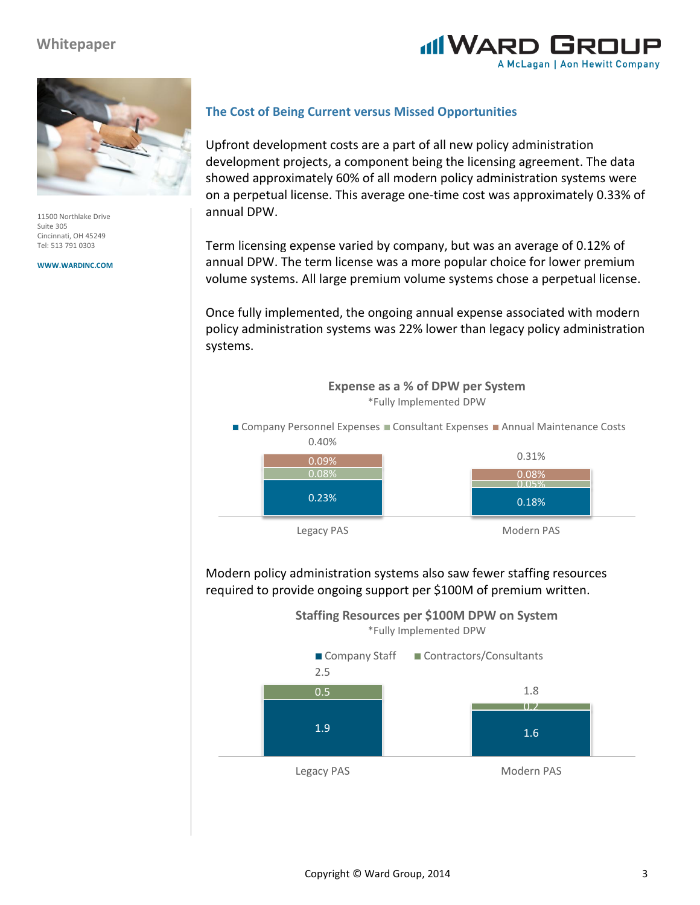



11500 Northlake Drive Suite 305 Cincinnati, OH 45249 Tel: 513 791 0303

**WWW.WARDINC.COM**

### **The Cost of Being Current versus Missed Opportunities**

Upfront development costs are a part of all new policy administration development projects, a component being the licensing agreement. The data showed approximately 60% of all modern policy administration systems were on a perpetual license. This average one-time cost was approximately 0.33% of annual DPW.

Term licensing expense varied by company, but was an average of 0.12% of annual DPW. The term license was a more popular choice for lower premium volume systems. All large premium volume systems chose a perpetual license.

Once fully implemented, the ongoing annual expense associated with modern policy administration systems was 22% lower than legacy policy administration systems.